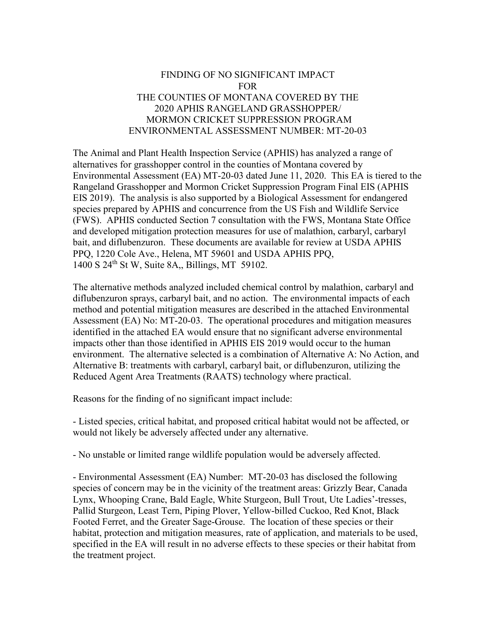## FINDING OF NO SIGNIFICANT IMPACT FOR THE COUNTIES OF MONTANA COVERED BY THE 2020 APHIS RANGELAND GRASSHOPPER/ MORMON CRICKET SUPPRESSION PROGRAM ENVIRONMENTAL ASSESSMENT NUMBER: MT-20-03

The Animal and Plant Health Inspection Service (APHIS) has analyzed a range of alternatives for grasshopper control in the counties of Montana covered by Environmental Assessment (EA) MT-20-03 dated June 11, 2020. This EA is tiered to the Rangeland Grasshopper and Mormon Cricket Suppression Program Final EIS (APHIS EIS 2019). The analysis is also supported by a Biological Assessment for endangered species prepared by APHIS and concurrence from the US Fish and Wildlife Service (FWS). APHIS conducted Section 7 consultation with the FWS, Montana State Office and developed mitigation protection measures for use of malathion, carbaryl, carbaryl bait, and diflubenzuron. These documents are available for review at USDA APHIS PPQ, 1220 Cole Ave., Helena, MT 59601 and USDA APHIS PPQ, 1400 S 24th St W, Suite 8A,, Billings, MT 59102.

The alternative methods analyzed included chemical control by malathion, carbaryl and diflubenzuron sprays, carbaryl bait, and no action. The environmental impacts of each method and potential mitigation measures are described in the attached Environmental Assessment (EA) No: MT-20-03. The operational procedures and mitigation measures identified in the attached EA would ensure that no significant adverse environmental impacts other than those identified in APHIS EIS 2019 would occur to the human environment. The alternative selected is a combination of Alternative A: No Action, and Alternative B: treatments with carbaryl, carbaryl bait, or diflubenzuron, utilizing the Reduced Agent Area Treatments (RAATS) technology where practical.

Reasons for the finding of no significant impact include:

- Listed species, critical habitat, and proposed critical habitat would not be affected, or would not likely be adversely affected under any alternative.

- No unstable or limited range wildlife population would be adversely affected.

- Environmental Assessment (EA) Number: MT-20-03 has disclosed the following species of concern may be in the vicinity of the treatment areas: Grizzly Bear, Canada Lynx, Whooping Crane, Bald Eagle, White Sturgeon, Bull Trout, Ute Ladies'-tresses, Pallid Sturgeon, Least Tern, Piping Plover, Yellow-billed Cuckoo, Red Knot, Black Footed Ferret, and the Greater Sage-Grouse. The location of these species or their habitat, protection and mitigation measures, rate of application, and materials to be used, specified in the EA will result in no adverse effects to these species or their habitat from the treatment project.